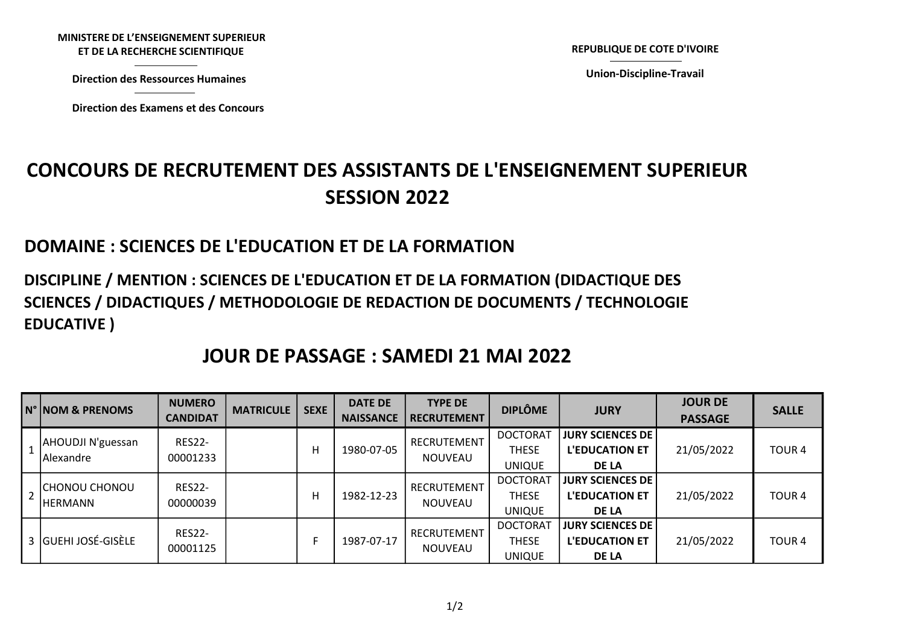MINISTERE DE L'ENSEIGNEMENT SUPERIEUR STERE DE L'ENSEIGNEMENT SUPERIEUR<br>ET DE LA RECHERCHE SCIENTIFIQUE<br>Virection des Ressources Humaines<br>Virection des Examens et des Concours

Direction des Ressources Humaines

REPUBLIQUE DE COTE D'IVOIRE<br>Union-Discipline-Travail

Union-Discipline-Travail

## CONCOURS DE RECRUTEMENT DES ASSISTANTS DE L'ENSEIGNEMENT SUPERIEUR SESSION 2022 NISTERE DE L'ENSEIGNEMENT SUPERIEUR<br>ET DE LA RECHERCHE SCIENTIFIQUE<br>Direction des Ressources Humaines<br>Direction des Examens et des Concours<br>COURS DE RECRUTEMENT DES ASSISTANTS DE L'ENSEIGN

## DOMAINE : SCIENCES DE L'EDUCATION ET DE LA FORMATION

## DISCIPLINE / MENTION : SCIENCES DE L'EDUCATION ET DE LA FORMATION (DIDACTIQUE DES SCIENCES / DIDACTIQUES / METHODOLOGIE DE REDACTION DE DOCUMENTS / TECHNOLOGIE EDUCATIVE )

## JOUR DE PASSAGE : SAMEDI 21 MAI 2022

|   | N° NOM & PRENOMS                       | <b>NUMERO</b><br><b>CANDIDAT</b> | <b>MATRICULE</b> | <b>SEXE</b> | <b>DATE DE</b><br><b>NAISSANCE</b> | <b>TYPE DE</b><br><b>RECRUTEMENT</b> | <b>DIPLÔME</b>                                   | <b>JURY</b>                                                        | <b>JOUR DE</b><br><b>PASSAGE</b> | <b>SALLE</b>      |
|---|----------------------------------------|----------------------------------|------------------|-------------|------------------------------------|--------------------------------------|--------------------------------------------------|--------------------------------------------------------------------|----------------------------------|-------------------|
|   | <b>AHOUDJI N'guessan</b><br>lAlexandre | <b>RES22-</b><br>00001233        |                  | н           | 1980-07-05                         | RECRUTEMENT<br><b>NOUVEAU</b>        | <b>DOCTORAT</b><br><b>THESE</b><br><b>UNIQUE</b> | <b>JURY SCIENCES DE  </b><br><b>L'EDUCATION ET</b><br><b>DE LA</b> | 21/05/2022                       | TOUR <sub>4</sub> |
| 2 | <b>CHONOU CHONOU</b><br>IHERMANN       | <b>RES22-</b><br>00000039        |                  | н           | 1982-12-23                         | RECRUTEMENT<br><b>NOUVEAU</b>        | <b>DOCTORAT</b><br><b>THESE</b><br><b>UNIQUE</b> | <b>JURY SCIENCES DE  </b><br><b>L'EDUCATION ET</b><br><b>DE LA</b> | 21/05/2022                       | TOUR <sub>4</sub> |
|   | 3 GUEHI JOSÉ-GISÈLE                    | <b>RES22-</b><br>00001125        |                  |             | 1987-07-17                         | RECRUTEMENT<br><b>NOUVEAU</b>        | <b>DOCTORAT</b><br><b>THESE</b><br><b>UNIQUE</b> | <b>JURY SCIENCES DE  </b><br><b>L'EDUCATION ET</b><br><b>DE LA</b> | 21/05/2022                       | <b>TOUR4</b>      |